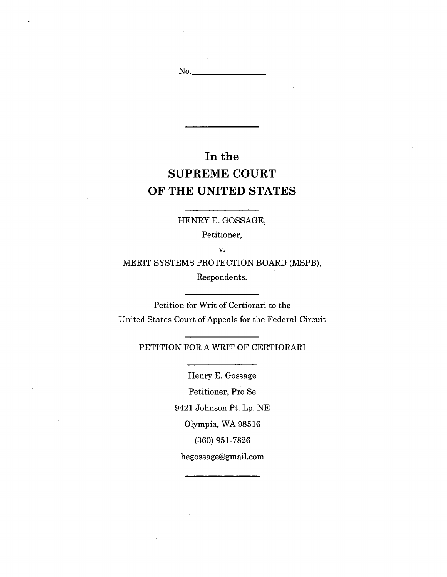# **In the SUPREME COURT OF THE UNITED STATES**

No.

HENRY E. GOSSAGE,

Petitioner,

v.

MERIT SYSTEMS PROTECTION BOARD (MSPB), Respondents.

Petition for Writ of Certiorari to the United States Court of Appeals for the Federal Circuit

# PETITION FOR A WRIT OF CERTIORARI

Henry E. Gossage

Petitioner, Pro Se

9421 Johnson Pt. Lp. NE

Olympia, WA 98516

(360) 951-7826

[hegossage@gmail.com](mailto:hegossage@gmail.com)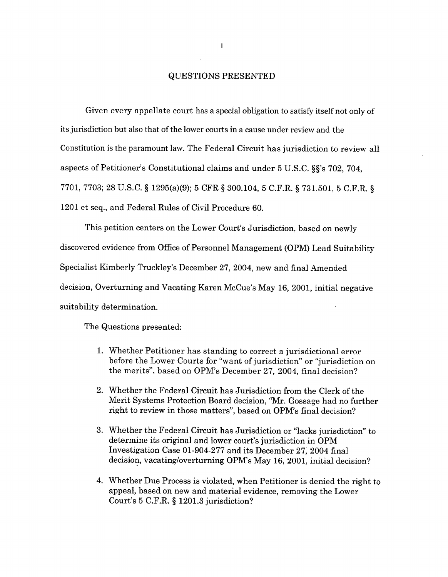# QUESTIONS PRESENTED

Given every appellate court has a special obligation to satisfy itself not only of its jurisdiction but also that of the lower courts in a cause under review and the Constitution is the paramount law. The Federal Circuit has jurisdiction to review all aspects of Petitioner's Constitutional claims and under 5 U.S.C. §§'s 702, 704, 7701, 7703; 28 U.S.C. § 1295(a)(9); 5 CFR § 300.104, 5 C.F.R. § 731.501, 5 C.F.R. § 1201 et seq., and Federal Rules of Civil Procedure 60.

This petition centers on the Lower Court's Jurisdiction, based on newly discovered evidence from Office of Personnel Management (OPM) Lead Suitability Specialist Kimberly Truckley's December 27, 2004, new and final Amended decision, Overturning and Vacating Karen McCue's May 16, 2001, initial negative suitability determination.

The Questions presented:

- 1. Whether Petitioner has standing to correct a jurisdictional error before the Lower Courts for "want of jurisdiction" or "jurisdiction on the merits", based on OPM's December 27, 2004, final decision?
- 2. Whether the Federal Circuit has Jurisdiction from the Clerk of the Merit Systems Protection Board decision, "Mr. Gossage had no further right to review in those matters", based on OPM's final decision?
- 3. Whether the Federal Circuit has Jurisdiction or "lacks jurisdiction" to determine its original and lower court's jurisdiction in OPM Investigation Case 01-904-277 and its December 27, 2004 final decision, vacating/overturning OPM's May 16, 2001, initial decision?
- 4. Whether Due Process is violated, when Petitioner is denied the right to appeal, based on new and material evidence, removing the Lower Court's 5 C.F.R. § 1201.3 jurisdiction?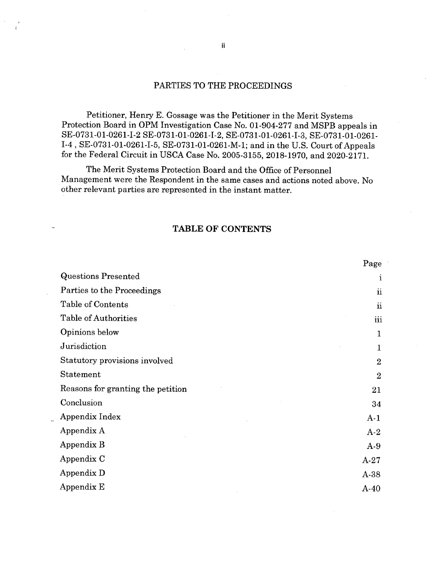# PARTIES TO THE PROCEEDINGS

Petitioner, Henry E. Gossage was the Petitioner in the Merit Systems Protection Board in OPM Investigation Case No. 01-904-277 and MSPB appeals in SE-0731-01-0261-1-2 SE-0731-01-0261-I-2, SE-0731-01-0261-I-3, SE-0731-01-0261- 1-4, SE-0731-01-0261-I-5, SE-0731-01-0261-M-1; and in the U.S. Court of Appeals for the Federal Circuit in USCA Case No. 2005-3155, 2018-1970, and 2020-2171.

The Merit Systems Protection Board and the Office of Personnel Management were the Respondent in the same cases and actions noted above. No other relevant parties are represented in the instant matter.

## **TABLE OF CONTENTS**

|                                   | Page                |
|-----------------------------------|---------------------|
| <b>Questions Presented</b>        | $\mathbf{1}$        |
| Parties to the Proceedings        | $\ddot{\mathbf{n}}$ |
| Table of Contents                 | $\ddot{\mathbf{n}}$ |
| Table of Authorities              | iii                 |
| Opinions below                    | 1                   |
| Jurisdiction                      | $\mathbf{1}$        |
| Statutory provisions involved     | $\overline{2}$      |
| Statement                         | $\overline{2}$      |
| Reasons for granting the petition | 21                  |
| Conclusion                        | 34                  |
| Appendix Index                    | $A-1$               |
| Appendix A                        | $A-2$               |
| Appendix B                        | $A-9$               |
| Appendix C                        | $A-27$              |
| Appendix D                        | A-38                |
| Appendix E                        | $A-40$              |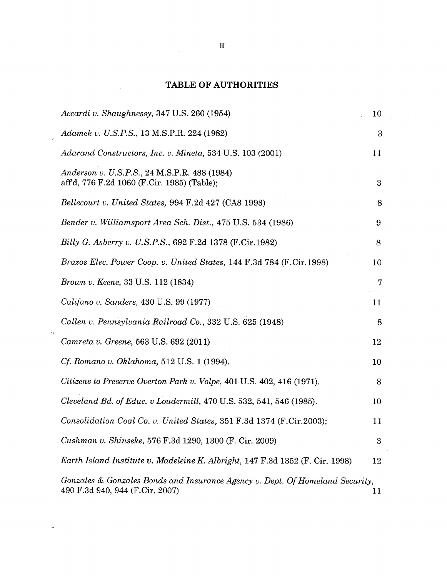# **TABLE OF AUTHORITIES**

 $\ddot{\phantom{a}}$ 

 $\hat{\mathbf{v}}$ 

 $\bar{\mathbf{v}}$ 

 $\sim$ 

| Accardi v. Shaughnessy, 347 U.S. 260 (1954)                                                                      | 10 |
|------------------------------------------------------------------------------------------------------------------|----|
| Adamek v. U.S.P.S., 13 M.S.P.R. 224 (1982)                                                                       | 3  |
| Adarand Constructors, Inc. v. Mineta, 534 U.S. 103 (2001)                                                        | 11 |
| Anderson v. U.S.P.S., 24 M.S.P.R. 488 (1984)<br>affd, 776 F.2d 1060 (F.Cir. 1985) (Table);                       | 3  |
| Bellecourt v. United States, 994 F.2d 427 (CA8 1993)                                                             | 8  |
| Bender v. Williamsport Area Sch. Dist., 475 U.S. 534 (1986)                                                      | 9  |
| Billy G. Asberry v. U.S.P.S., 692 F.2d 1378 (F.Cir.1982)                                                         | 8  |
| Brazos Elec. Power Coop. v. United States, 144 F.3d 784 (F.Cir.1998)                                             | 10 |
| Brown v. Keene, 33 U.S. 112 (1834)                                                                               | 7  |
| <i>Califano v. Sanders, 430 U.S. 99 (1977)</i>                                                                   | 11 |
| Callen v. Pennsylvania Railroad Co., 332 U.S. 625 (1948)                                                         | 8  |
| Camreta v. Greene, 563 U.S. 692 (2011)                                                                           | 12 |
| <i>Cf. Romano v. Oklahoma,</i> 512 U.S. 1 (1994).                                                                | 10 |
| Citizens to Preserve Overton Park v. Volpe, 401 U.S. 402, 416 (1971).                                            | 8  |
| Cleveland Bd. of Educ. v Loudermill, 470 U.S. 532, 541, 546 (1985).                                              | 10 |
| Consolidation Coal Co. v. United States, 351 F.3d 1374 (F.Cir.2003);                                             | 11 |
| Cushman v. Shinseke, 576 F.3d 1290, 1300 (F. Cir. 2009)                                                          | 3  |
| Earth Island Institute v. Madeleine K. Albright, 147 F.3d 1352 (F. Cir. 1998)                                    | 12 |
| Gonzales & Gonzales Bonds and Insurance Agency v. Dept. Of Homeland Security,<br>490 F.3d 940, 944 (F.Cir. 2007) | 11 |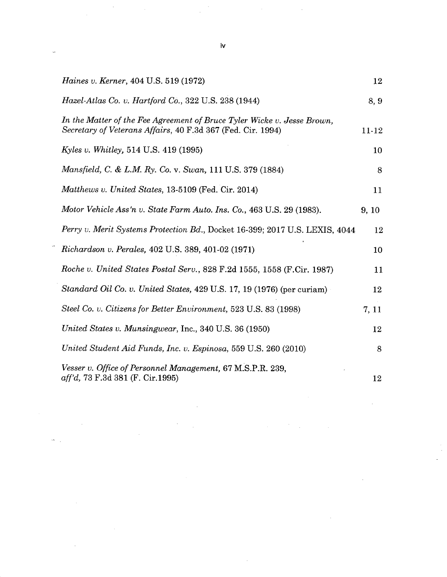| <i>Haines v. Kerner</i> , 404 U.S. 519 (1972)                                                                                          | 12    |
|----------------------------------------------------------------------------------------------------------------------------------------|-------|
| Hazel-Atlas Co. v. Hartford Co., 322 U.S. 238 (1944)                                                                                   | 8, 9  |
| In the Matter of the Fee Agreement of Bruce Tyler Wicke v. Jesse Brown,<br>Secretary of Veterans Affairs, 40 F.3d 367 (Fed. Cir. 1994) | 11-12 |
| <i>Kyles v. Whitley</i> , 514 U.S. 419 (1995)                                                                                          | 10    |
| <i>Mansfield, C. &amp; L.M. Ry. Co. v. Swan, 111 U.S. 379 (1884)</i>                                                                   | 8     |
| Matthews v. United States, 13-5109 (Fed. Cir. 2014)                                                                                    | 11    |
| Motor Vehicle Ass'n v. State Farm Auto. Ins. Co., 463 U.S. 29 (1983).                                                                  | 9, 10 |
| Perry v. Merit Systems Protection Bd., Docket 16-399; 2017 U.S. LEXIS, 4044                                                            | 12    |
| Richardson v. Perales, 402 U.S. 389, 401-02 (1971)                                                                                     | 10    |
| Roche v. United States Postal Serv., 828 F.2d 1555, 1558 (F.Cir. 1987)                                                                 | 11    |
| Standard Oil Co. v. United States, 429 U.S. 17, 19 (1976) (per curiam)                                                                 | 12    |
| Steel Co. v. Citizens for Better Environment, 523 U.S. 83 (1998)                                                                       | 7, 11 |
| United States v. Munsingwear, Inc., 340 U.S. 36 (1950)                                                                                 | 12    |
| United Student Aid Funds, Inc. v. Espinosa, 559 U.S. 260 (2010)                                                                        | 8     |
| Vesser v. Office of Personnel Management, 67 M.S.P.R. 239,<br>aff'd, 73 F.3d 381 (F. Cir.1995)                                         | 12    |

 $\label{eq:2.1} \frac{1}{\sqrt{2}}\int_{\mathbb{R}^3}\frac{1}{\sqrt{2}}\left(\frac{1}{\sqrt{2}}\right)^2\frac{1}{\sqrt{2}}\left(\frac{1}{\sqrt{2}}\right)^2\frac{1}{\sqrt{2}}\left(\frac{1}{\sqrt{2}}\right)^2\frac{1}{\sqrt{2}}\left(\frac{1}{\sqrt{2}}\right)^2\frac{1}{\sqrt{2}}\left(\frac{1}{\sqrt{2}}\right)^2\frac{1}{\sqrt{2}}\frac{1}{\sqrt{2}}\frac{1}{\sqrt{2}}\frac{1}{\sqrt{2}}\frac{1}{\sqrt{2}}\frac{1}{\sqrt{2}}$ 

**iv**

 $\mathcal{L}_{\text{max}}$  and the contract of the contract of the contract of the contract of the contract of the contract of the contract of the contract of the contract of the contract of the contract of the contract of the contrac

 $\label{eq:1} \nabla \Psi_{\alpha} = \nabla \Psi_{\alpha} + \nabla \Psi_{\alpha}$ 

 $\hat{\mathbf{w}}_{\text{max}}$ 

 $\mathcal{L}^{\text{max}}_{\text{max}}$  . The  $\mathcal{L}^{\text{max}}_{\text{max}}$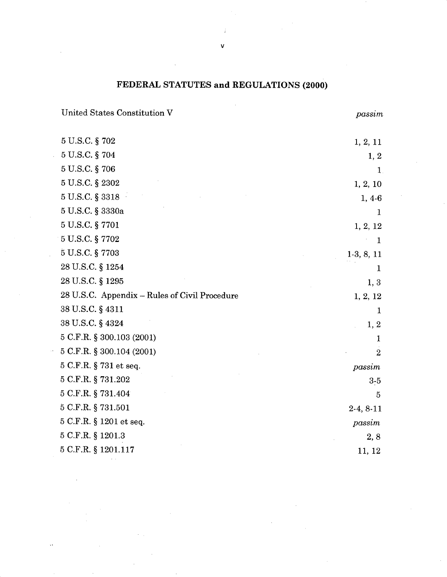# **FEDERAL STATUTES and REGULATIONS (2000)**

United States Constitution V *passim*

 $\bar{\mathbf{v}}$ 

| 5 U.S.C. § 702                                | 1, 2, 11       |
|-----------------------------------------------|----------------|
| 5 U.S.C. § 704                                | 1, 2           |
| 5 U.S.C. § 706                                | 1              |
| 5 U.S.C. § 2302                               | 1, 2, 10       |
| 5 U.S.C. § 3318                               | $1, 4-6$       |
| $5$ U.S.C. $\S$ 3330a                         | 1              |
| 5 U.S.C. § 7701                               | 1, 2, 12       |
| 5 U.S.C. § 7702                               | $\mathbf{1}$   |
| 5 U.S.C. § 7703                               | $1-3, 8, 11$   |
| 28 U.S.C. § 1254                              | 1              |
| 28 U.S.C. § 1295                              | 1, 3           |
| 28 U.S.C. Appendix - Rules of Civil Procedure | 1, 2, 12       |
| 38 U.S.C. § 4311                              | 1              |
| 38 U.S.C. § 4324                              | 1, 2           |
| 5 C.F.R. § 300.103 (2001)                     | 1              |
| 5 C.F.R. § 300.104 (2001)                     | $\overline{2}$ |
| 5 C.F.R. § 731 et seq.                        | passim         |
| 5 C.F.R. § 731.202                            | $3-5$          |
| 5 C.F.R. § 731.404                            | 5              |
| 5 C.F.R. § 731.501                            | $2-4, 8-11$    |
| 5 C.F.R. § 1201 et seq.                       | passim         |
| $5$ C.F.R. $\S$ 1201.3                        | 2, 8           |
| 5 C.F.R. § 1201.117                           | 11, 12         |
|                                               |                |

**V**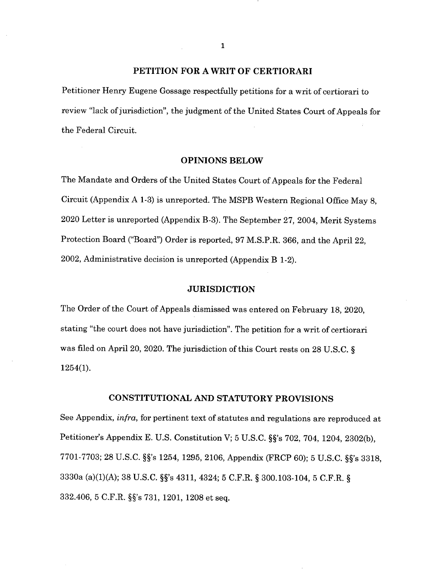## **PETITION FOR A WRIT OF CERTIORARI**

Petitioner Henry Eugene Gossage respectfully petitions for a writ of certiorari to review "lack of jurisdiction", the judgment of the United States Court of Appeals for the Federal Circuit.

#### **OPINIONS BELOW**

The Mandate and Orders of the United States Court of Appeals for the Federal Circuit (Appendix A 1-3) is unreported. The MSPB Western Regional Office May 8, 2020 Letter is unreported (Appendix B-3). The September 27, 2004, Merit Systems Protection Board ("Board") Order is reported, 97 M.S.P.R. 366, and the April 22, 2002, Administrative decision is unreported (Appendix B 1-2).

# **JURISDICTION**

The Order of the Court of Appeals dismissed was entered on February 18, 2020, stating "the court does not have jurisdiction". The petition for a writ of certiorari was filed on April 20, 2020. The jurisdiction of this Court rests on 28 U.S.C. § 1254(1).

## **CONSTITUTIONAL AND STATUTORY PROVISIONS**

See Appendix, *infra*, for pertinent text of statutes and regulations are reproduced at Petitioner's Appendix E. U.S. Constitution V; 5 U.S.C. §§'s 702, 704, 1204, 2302(b), 7701-7703; 28 U.S.C. §§'s 1254, 1295, 2106, Appendix (FRCP 60); 5 U.S.C. §§'s 3318; 3330a (a)(1)(A); 38 U.S.C. §§'s 4311, 4324; 5 C.F.R. § 300.103-104, 5 C.F.R. § 332.406, 5 C.F.R. §§'s 731, 1201, 1208 et seq.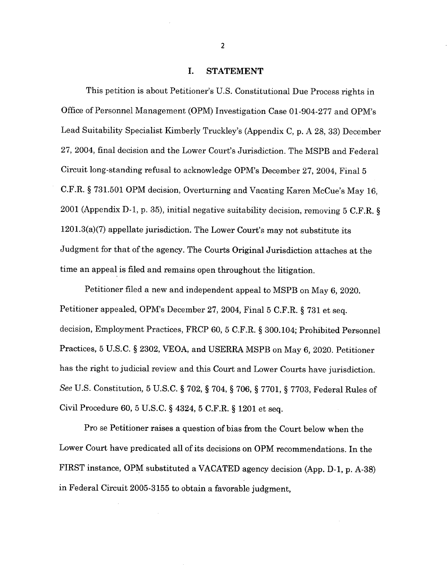### I. STATEMENT

This petition is about Petitioner's U.S. Constitutional Due Process rights in Office of Personnel Management (OPM) Investigation Case 01-904-277 and OPM's Lead Suitability Specialist Kimberly Truckley's (Appendix C, p. A 28, 33) December 27, 2004, final decision and the Lower Court's Jurisdiction. The MSPB and Federal Circuit long-standing refusal to acknowledge OPM's December 27, 2004, Final 5 C.F.R. § 731.501 OPM decision, Overturning and Vacating Karen McCue's May 16, 2001 (Appendix D-l, p. 35), initial negative suitability decision, removing 5 C.F.R. § 1201.3(a)(7) appellate jurisdiction. The Lower Court's may not substitute its Judgment for that of the agency. The Courts Original Jurisdiction attaches at the time an appeal is filed and remains open throughout the litigation.

Petitioner filed a new and independent appeal to MSPB on May 6, 2020. Petitioner appealed, OPM's December 27, 2004, Final 5 C.F.R. § 731 et seq. decision, Employment Practices, FRCP 60, 5 C.F.R. § 300.104; Prohibited Personnel Practices, 5 U.S.C. § 2302, VEOA, and USERRA MSPB on May 6, 2020. Petitioner has the right to judicial review and this Court and Lower Courts have jurisdiction. *See* U.S. Constitution, 5 U.S.C. § 702, § 704, § 706, § 7701, § 7703, Federal Rules of Civil Procedure 60, 5 U.S.C. § 4324, 5 C.F.R. § 1201 et seq.

Pro se Petitioner raises a question of bias from the Court below when the Lower Court have predicated all of its decisions on OPM recommendations. In the FIRST instance, OPM substituted a VACATED agency decision (App. D-l, p. A-38) in Federal Circuit 2005-3155 to obtain a favorable judgment,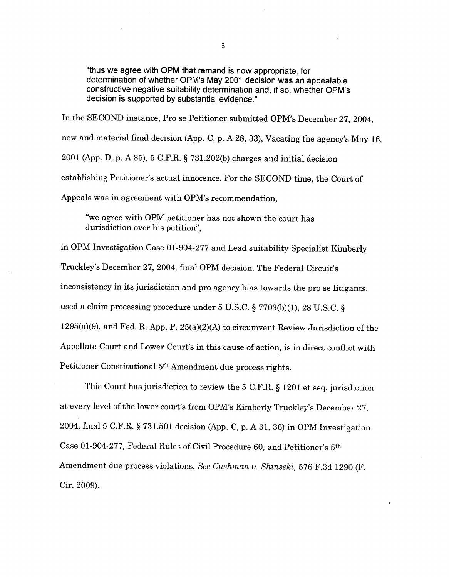"thus we agree with OPM that remand is now appropriate, for determination of whether OPM's May 2001 decision was an appealable constructive negative suitability determination and, if so, whether OPM's decision is supported by substantial evidence."

In the SECOND instance, Pro se Petitioner submitted OPM's December 27, 2004, new and material final decision (App. C, p. A 28, 33), Vacating the agency's May 16, 2001 (App. D, p. A 35), 5 C.F.R. § 731.202(b) charges and initial decision establishing Petitioner's actual innocence. For the SECOND time, the Court of Appeals was in agreement with OPM's recommendation,

"we agree with OPM petitioner has not shown the court has Jurisdiction over his petition",

in OPM Investigation Case 01-904-277 and Lead suitability Specialist Kimberly Truckley's December 27, 2004, final OPM decision. The Federal Circuit's inconsistency in its jurisdiction and pro agency bias towards the pro se litigants, used a claim processing procedure under 5 U.S.C. § 7703(b)(1), 28 U.S.C. § 1295(a)(9), and Fed. R. App. P. 25(a)(2)(A) to circumvent Review Jurisdiction of the Appellate Court and Lower Court's in this cause of action, is in direct conflict with Petitioner Constitutional 5th Amendment due process rights.

This Court has jurisdiction to review the 5 C.F.R. § 1201 et seq. jurisdiction at every level of the lower court's from OPM's Kimberly Truckley's December 27, 2004, final 5 C.F.R. § 731.501 decision (App. C, p. A 31, 36) in OPM Investigation Case 01-904-277, Federal Rules of Civil Procedure 60, and Petitioner's 5th Amendment due process violations. *See Cushman u. Shinseki,* 576 F.3d 1290 (F. Cir. 2009).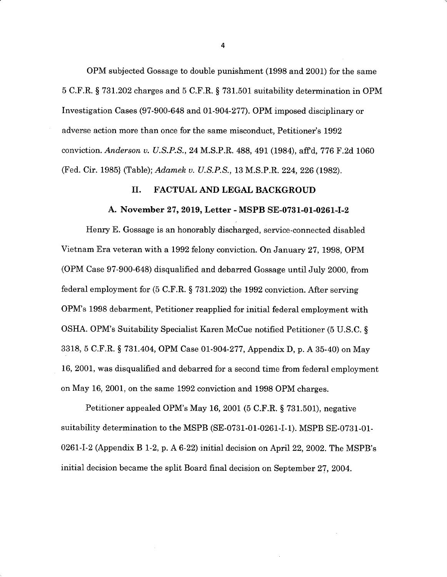OPM subjected Gossage to double punishment (1998 and 2001) for the same 5 C.F.R. § 731.202 charges and 5 C.F.R. § 731.501 suitability determination in OPM Investigation Cases (97-900-648 and 01-904-277). OPM imposed disciplinary or adverse action more than once for the same misconduct, Petitioner's 1992 conviction. *Anderson v. U.S.P.S.,* 24 M.S.P.R. 488, 491 (1984), affd, 776 F.2d 1060 (Fed. Cir. 1985} (Table); *Adamek v. U.S.P.S.,* 13 M.S.P.R. 224, 226 (1982).

### **II. FACTUAL AND LEGAL BACKGROUD**

#### **A. November 27, 2019, Letter - MSPB SE-0731-01-0261-I-2**

Henry E. Gossage is an honorably discharged, service-connected disabled Vietnam Era veteran with a 1992 felony conviction. On January 27, 1998, OPM (OPM Case 97-900-648) disqualified and debarred Gossage until July 2000, from federal employment for (5 C.F.R. § 731.202) the 1992 conviction. After serving OPM's 1998 debarment, Petitioner reapplied for initial federal employment with OSHA. OPM's Suitability Specialist Karen McCue notified Petitioner (5 U.S.C. § 3318, 5 C.F.R. § 731.404, OPM Case 01-904-277, Appendix D, p. A 35-40) on May 16, 2001, was disqualified and debarred for a second time from federal employment on May 16, 2001, on the same 1992 conviction and 1998 OPM charges.

Petitioner appealed OPM's May 16, 2001 (5 C.F.R. § 731.501), negative suitability determination to the MSPB (SE-0731-01-0261-I-1). MSPB SE-0731-01- 0261-1-2 (Appendix B 1-2, p. A 6-22) initial decision on April 22, 2002. The MSPB's initial decision became the split Board final decision on September 27, 2004.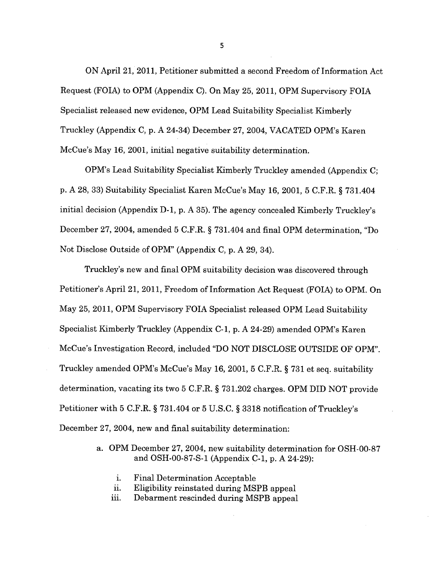ON April 21, 2011, Petitioner submitted a second Freedom of Information Act Request (FOIA) to OPM (Appendix C). On May 25, 2011, OPM Supervisory FOIA Specialist released new evidence, OPM Lead Suitability Specialist Kimberly Truckley (Appendix C, p. A 24-34) December 27, 2004, VACATED OPM's Karen McCue's May 16, 2001, initial negative suitability determination.

OPM's Lead Suitability Specialist Kimberly Truckley amended (Appendix C; p. A 28, 33) Suitability Specialist Karen McCue's May 16, 2001, 5 C.F.R. § 731.404 initial decision (Appendix D-l, p. A 35). The agency concealed Kimberly Truckley's December 27, 2004, amended 5 C.F.R. § 731.404 and final OPM determination, "Do Not Disclose Outside of OPM" (Appendix C, p. A 29, 34).

Truckley's new and final OPM suitability decision was discovered through Petitioner's April 21, 2011, Freedom of Information Act Request (FOIA) to OPM. On May 25, 2011, OPM Supervisory FOIA Specialist released OPM Lead Suitability Specialist Kimberly Truckley (Appendix C-l, p. A 24-29) amended OPM's Karen McCue's Investigation Record, included "DO NOT DISCLOSE OUTSIDE OF OPM". Truckley amended OPM's McCue's May 16, 2001, 5 C.F.R. § 731 et seq. suitability determination, vacating its two 5 C.F.R. § 731.202 charges. OPM DID NOT provide Petitioner with 5 C.F.R. § 731.404 or 5 U.S.C. § 3318 notification of Truckley's December 27, 2004, new and final suitability determination:

- a. OPM December 27, 2004, new suitability determination for OSH-OO-87 and OSH-00-87-S-1 (Appendix C-l, p. A 24-29):
	- i. Final Determination Acceptable
	- ii. Eligibility reinstated during MSPB appeal
	- iii. Debarment rescinded during MSPB appeal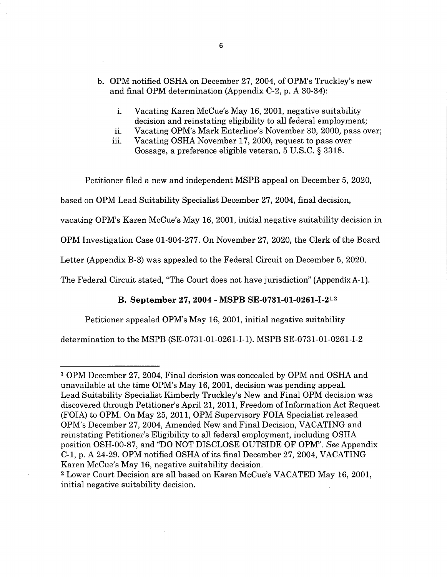- b. OPM notified OSHA on December 27, 2004, of OPM's Truckley's new and final OPM determination (Appendix C-2, p. A 30-34):
	- i. Vacating Karen McCue's May 16, 2001, negative suitability decision and reinstating eligibility to all federal employment;
	- ii. Vacating OPM's Mark Enterline's November 30, 2000, pass over;
	- iii. Vacating OSHA November 17, 2000, request to pass over Gossage, a preference eligible veteran, 5 U.S.C. § 3318.

Petitioner filed a new and independent MSPB appeal on December 5, 2020,

based on OPM Lead Suitability Specialist December 27, 2004, final decision,

vacating OPM's Karen McCue's May 16, 2001, initial negative suitability decision in

OPM Investigation Case 01-904-277. On November 27, 2020, the Clerk ofthe Board

Letter (Appendix B-3) was appealed to the Federal Circuit on December 5, 2020.

The Federal Circuit stated, "The Court does not have jurisdiction" (Appendix A-1).

#### **B. September 27, 2004 - MSPB SE-0731-01-0261-1-2**<sup>12</sup>

Petitioner appealed OPM's May 16, 2001, initial negative suitability

determination to the MSPB (SE-0731-01-0261-I-1). MSPB SE-0731-01-0261-I-2

<sup>1</sup> OPM December 27, 2004, Final decision was concealed by OPM and OSHA and unavailable at the time OPM's May 16, 2001, decision was pending appeal. Lead Suitability Specialist Kimberly Truckley's New and Final OPM decision was discovered through Petitioner's April 21, 2011, Freedom of Information Act Request (FOIA) to OPM. On May 25, 2011, OPM Supervisory FOIA Specialist released OPM's December 27, 2004, Amended New and Final Decision, VACATING and reinstating Petitioner's Eligibility to all federal employment, including OSHA position OSH-OO-87, and "DO NOT DISCLOSE OUTSIDE OF OPM". *See* Appendix C-l, p. A 24-29. OPM notified OSHA ofits final December 27, 2004, VACATING Karen McCue's May 16, negative suitability decision.

<sup>2</sup> Lower Court Decision are all based on Karen McCue's VACATED May 16, 2001, initial negative suitability decision.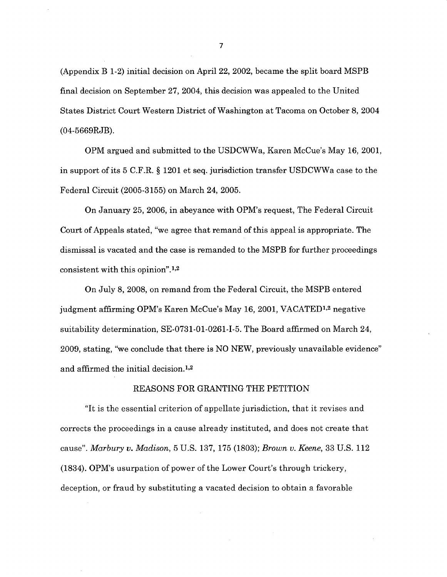(Appendix B 1-2) initial decision on April 22, 2002, became the split board MSPB final decision on September 27, 2004, this decision was appealed to the United States District Court Western District of Washington at Tacoma on October 8, 2004 (04-5669RJB).

OPM argued and submitted to the USDCWWa, Karen McCue's May 16, 2001, in support ofits 5 C.F.R. § 1201 et seq. jurisdiction transfer USDCWWa case to the Federal Circuit (2005-3155) on March 24, 2005.

On January 25, 2006, in abeyance with OPM's request, The Federal Circuit Court of Appeals stated, "we agree that remand of this appeal is appropriate. The dismissal is vacated and the case is remanded to the MSPB for further proceedings consistent with this opinion".<sup>1,2</sup>

On July 8, 2008, on remand from the Federal Circuit, the MSPB entered judgment affirming OPM's Karen McCue's May 16, 2001, VACATED1'2 negative suitability determination, SE-0731-01-0261-I-5. The Board affirmed on March 24, 2009, stating, "we conclude that there is NO NEW, previously unavailable evidence" and affirmed the initial decision.<sup>1,2</sup>

#### REASONS FOR GRANTING THE PETITION

"It is the essential criterion of appellate jurisdiction, that it revises and. corrects the proceedings in a cause already instituted, and does not create that cause". *Marbury v. Madison,* 5 U.S. 137, 175 (1803); *Brown v. Keene,* 33 U.S. 112 (1834). OPM's usurpation of power of the Lower Court's through trickery, deception, or fraud by substituting a vacated decision to obtain a favorable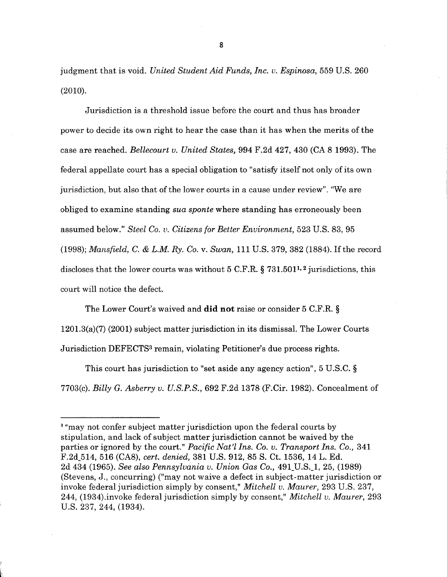judgment that is void. *United Student Aid Funds, Inc. v. Espinosa,* 559 U.S. 260 (2010).

Jurisdiction is a threshold issue before the court and thus has broader power to decide its own right to hear the case than it has when the merits of the case are reached. *Bellecourt v. United States,* 994 F.2d 427, 430 (CA 8 1993). The federal appellate court has a special obligation to "satisfy itself not only of its own jurisdiction, but also that of the lower courts in a cause under review". "We are obliged to examine standing *sua sponte* where standing has erroneously been assumed below." *Steel Co. v. Citizens for Better Environment,* 523 U.S. 83, 95 (1998); *Mansfield, C. & L.M. Ry. Co.* v. *Swan,* 111 U.S. 379, 382 (1884). Ifthe record discloses that the lower courts was without 5 C.F.R.  $\S$  731.501<sup>1,2</sup> jurisdictions, this court will notice the defect.

The Lower Court's waived and did not raise or consider 5 C.F.R. §  $1201.3(a)(7)$  (2001) subject matter jurisdiction in its dismissal. The Lower Courts Jurisdiction DEFECTS3 remain, violating Petitioner's due process rights.

This court has jurisdiction to "set aside any agency action", 5 U.S.C. § 7703(c). *Billy G. Asberry v. U.S.P.S.,* 692 F.2d 1378 (F.Cir. 1982). Concealment of

**r**

<sup>&</sup>lt;sup>3</sup> "may not confer subject matter jurisdiction upon the federal courts by stipulation, and lack of subject matter jurisdiction cannot be waived by the parties or ignored by the court." *Pacific Nat'l Ins. Co. v. Transport Ins. Co.,* 341 F.2d\_514, 516 (CA8), *cert, denied,* 381 U.S. 912, 85 S. Ct. 1536, 14 L. Ed. 2d 434 (1965). *See also Pennsylvania v. Union Gas Co.,* 491\_U.S.\_1, 25, (1989) (Stevens, J., concurring) ("may not waive a defect in subject-matter jurisdiction or invoke federal jurisdiction simply by consent," *Mitchell v. Maurer,* 293 U.S. 237, 244, (1934).invoke federal jurisdiction simply by consent," *Mitchell v. Maurer,* 293 U.S. 237, 244, (1934).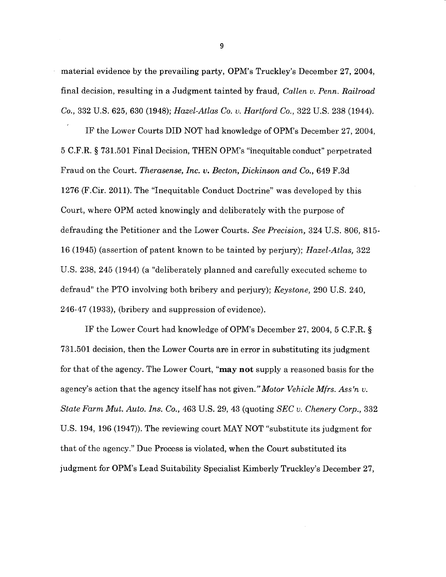material evidence by the prevailing party, OPM's Truckley's December 27, 2004, final decision, resulting in a Judgment tainted by fraud, *Callen v. Penn. Railroad Co.,* 332 U.S. 625, 630 (1948); *Hazel-Atlas Co. v. Hartford Co.,* 322 U.S. 238 (1944).

IF the Lower Courts DID NOT had knowledge of OPM's December 27, 2004, 5 C.F.R. § 731.501 Final Decision, THEN OPM's "inequitable conduct" perpetrated Fraud on the Court. *Therasense, Inc. v. Becton, Dickinson and Co.,* 649 F.3d 1276 (F.Cir. 2011). The "Inequitable Conduct Doctrine" was developed by this Court, where OPM acted knowingly and deliberately with the purpose of defrauding the Petitioner and the Lower Courts. *See Precision,* 324 U.S. 806, 815- 16 (1945) (assertion of patent known to be tainted by perjury); *Hazel-Atlas,* 322 U.S. 238, 245 (1944) (a "deliberately planned and carefully executed scheme to defraud" the PTO involving both bribery and perjury); *Keystone,* 290 U.S. 240, 246-47 (1933), (bribery and suppression of evidence).

IF the Lower Court had knowledge of OPM's December 27, 2004, 5 C.F.R. § 731.501 decision, then the Lower Courts are in error in substituting its judgment for that of the agency. The Lower Court, "may **not** supply a reasoned basis for the agency's action that the agency itself has not given*.''Motor Vehicle Mfrs. Ass'n v. State Farm Mut. Auto. Ins. Co.,* 463 U.S. 29, 43 (quoting *SEC v. Chenery Corp.,* 332 U.S. 194, 196 (1947)). The reviewing court MAY NOT "substitute its judgment for that of the agency." Due Process is violated, when the Court substituted its judgment for OPM's Lead Suitability Specialist Kimberly Truckley's December 27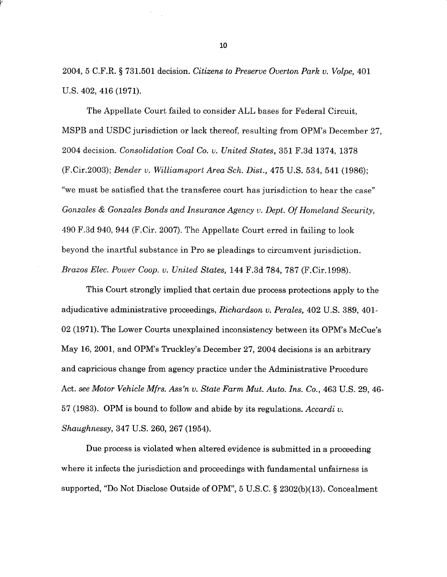2004, 5 C.F.R. § 731.501 decision. *Citizens to Preserve Overton Park v. Volpe,* 401 U.S. 402, 416 (1971).

The Appellate Court failed to consider ALL bases for Federal Circuit, MSPB and USDC jurisdiction or lack thereof, resulting from OPM's December 27, 2004 decision. *Consolidation Coal Co. v. United States,* 351 F.3d 1374, 1378 (F.Cir.2003); *Bender v. William,sport Area Sch. Dist.,* 475 U.S. 534, 541 (1986); "we must be satisfied that the transferee court has jurisdiction to hear the case" *Gonzales & Gonzales Bonds and Insurance Agency v. Dept. OfHomeland Security,* 490 F.3d 940, 944 (F.Cir. 2007). The Appellate Court erred in failing to look beyond the inartful substance in Pro se pleadings to circumvent jurisdiction. *Brazos Elec. Power Coop. v. United States,* 144 F.3d 784, 787 (F.Cir. 1998).

This Court strongly implied that certain due process protections apply to the adjudicative administrative proceedings, *Richardson v. Perales,* 402 U.S. 389, 401- 02 (1971). The Lower Courts unexplained inconsistency between its OPM's McCue's May 16, 2001, and OPM's Truckley's December 27, 2004 decisions is an arbitrary and capricious change from agency practice under the Administrative Procedure Act. *see Motor Vehicle Mfrs. Ass'n v. State Farm Mut. Auto. Ins. Co.,* 463 U.S. 29, 46- 57 (1983). OPM is bound to follow and abide by its regulations. *Accardi v. Shaughnessy,* 347 U.S. 260, 267 (1954).

Due process is violated when altered evidence is submitted in a proceeding where it infects the jurisdiction and proceedings with fundamental unfairness is supported, "Do Not Disclose Outside of OPM", 5 U.S.C. § 2302(b)(13). Concealment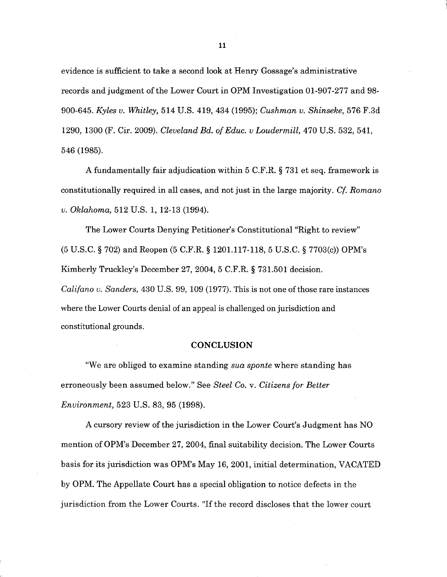evidence is sufficient to take a second look at Henry Gossage's administrative records and judgment of the Lower Court in OPM Investigation 01-907-277 and 98-900-645. *Kyles u. Whitley,* 514 U.S. 419, 434 (1995); *Cushman v. Shinseke,* 576 F.3d 1290, 1300 (F. Cir. 2009). *Cleveland Bd. ofEduc. v Loudermill,* 470 U.S. 532, 541, 546 (1985).

A fundamentally fair adjudication within 5 C.F.R. § 731 et seq. framework is constitutionally required in all cases, and not just in the large majority. *Cf. Romano v. Oklahoma,* 512 U.S. 1, 12-13 (1994).

The Lower Courts Denying Petitioner's Constitutional "Right to review" (5 U.S.C. § 702) **and** Reopen (5 C.F.R. § 1201.117-118, 5 U.S.C. § 7703(c)) OPM's Kimberly Truckley's December 27, 2004, 5 C.F.R. § 731.501 decision. *Califano v. Sanders,* 430 U.S. 99, 109 (1977). This is not one ofthose rare instances where the Lower Courts denial of an appeal is challenged on jurisdiction and constitutional grounds.

### **CONCLUSION**

"We are obliged to examine standing *sua sponte* where standing has erroneously been assumed below." See *Steel Co.* v. *Citizens for Better Environment,* 523 U.S. 83, 95 (1998).

A cursory review of the jurisdiction in the Lower Court's Judgment has NO mention of OPM's December 27, 2004, final suitability decision. The Lower Courts basis for its jurisdiction was OPM's May 16, 2001, initial determination, VACATED by OPM. The Appellate Court has a special obligation to notice defects in the jurisdiction from the Lower Courts. "If the record discloses that the lower court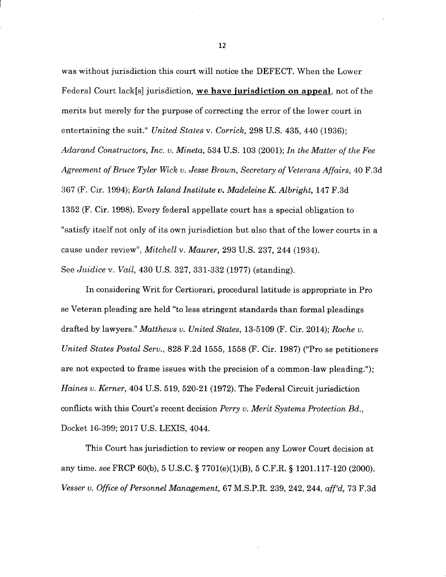was without jurisdiction this court will notice the DEFECT. When the Lower Federal Court lack[s] jurisdiction, **we have jurisdiction on appeal,** not of the merits but merely for the purpose of correcting the error of the lower court in entertaining the suit." *United States* v. *Corrick,* 298 U.S. 435, 440 (1936); *Adarand Constructors, Inc. v. Mineta,* 534 U.S. 103 (2001); *In the Matter of the Fee Agre.em.ent ofBruce Tyler Wick v. Jesse Brown, Secretary of Veterans Affairs,* 40 F.3d 367 (F. Cir. 1994); *Earth Island Institute v. Madeleine K. Albright,* 147 F.3d 1352 (F. Cir. 1998). Every federal appellate court has a special obligation to "satisfy itself not only of its own jurisdiction but also that of the lower courts in a cause under review", *Mitchell* v. *Maurer,* 293 U.S. 237, 244 (1934). See *Juidice* v. *Vail,* 430 U.S. 327, 331-332 (1977) (standing).

In considering Writ for Certiorari, procedural latitude is appropriate in Pro se Veteran pleading are held "to less stringent standards than formal pleadings drafted by lawyers." *Matthews v. United States,* 13-5109 (F. Cir. 2014); *Roche v. United States Postal Serv.,* 828 F.2d 1555, 1558 (F. Cir. 1987) ("Pro se petitioners are not expected to frame issues with the precision of a common-law pleading."); *Haines v. Kerner,* 404 U.S. 519, 520-21 (1972). The Federal Circuit jurisdiction conflicts with this Court's recent decision *Perry v. Merit Systems Protection Bd..,* Docket 16-399; 2017 U.S. LEXIS, 4044.

This Court has jurisdiction to review or reopen any Lower Court decision at any time, see FRCP 60(b), 5 U.S.C. § 7701(e)(1)(B), 5 C.F.R. § 1201.117-120 (2000). *Vesser v. Office of Personnel Management,* 67 M.S.P.R. 239, 242, 244, *aff'd,* 73 F.3d